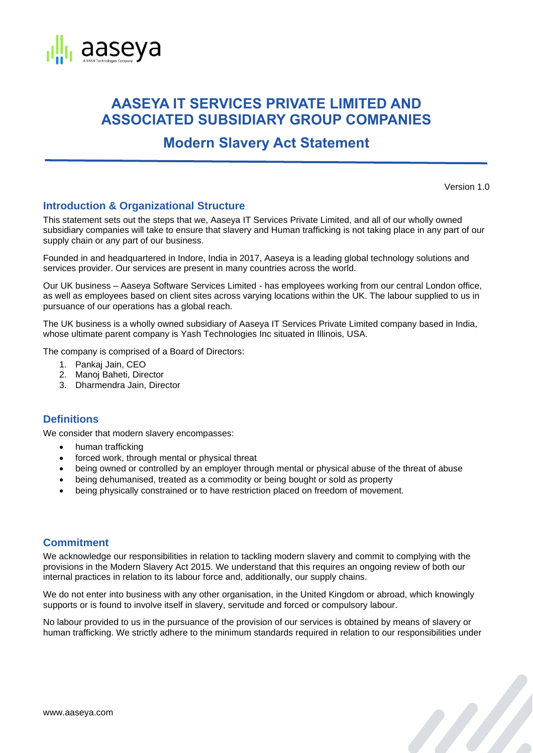

# **AASEYA IT SERVICES PRIVATE LIMITED AND ASSOCIATED SUBSIDIARY GROUP COMPANIES**

**Modern Slavery Act Statement**

Version 1.0

a A

## **Introduction & Organizational Structure**

This statement sets out the steps that we, Aaseya IT Services Private Limited, and all of our wholly owned subsidiary companies will take to ensure that slavery and Human trafficking is not taking place in any part of our supply chain or any part of our business.

Founded in and headquartered in Indore, India in 2017, Aaseya is a leading global technology solutions and services provider. Our services are present in many countries across the world.

Our UK business – Aaseya Software Services Limited - has employees working from our central London office, as well as employees based on client sites across varying locations within the UK. The labour supplied to us in pursuance of our operations has a global reach.

The UK business is a wholly owned subsidiary of Aaseya IT Services Private Limited company based in India, whose ultimate parent company is Yash Technologies Inc situated in Illinois, USA.

The company is comprised of a Board of Directors:

- 1. Pankaj Jain, CEO
- 2. Manoj Baheti, Director
- 3. Dharmendra Jain, Director

## **Definitions**

We consider that modern slavery encompasses:

- human trafficking
- forced work, through mental or physical threat
- being owned or controlled by an employer through mental or physical abuse of the threat of abuse
- being dehumanised, treated as a commodity or being bought or sold as property
- being physically constrained or to have restriction placed on freedom of movement.

### **Commitment**

We acknowledge our responsibilities in relation to tackling modern slavery and commit to complying with the provisions in the Modern Slavery Act 2015. We understand that this requires an ongoing review of both our internal practices in relation to its labour force and, additionally, our supply chains.

We do not enter into business with any other organisation, in the United Kingdom or abroad, which knowingly supports or is found to involve itself in slavery, servitude and forced or compulsory labour.

No labour provided to us in the pursuance of the provision of our services is obtained by means of slavery or human trafficking. We strictly adhere to the minimum standards required in relation to our responsibilities under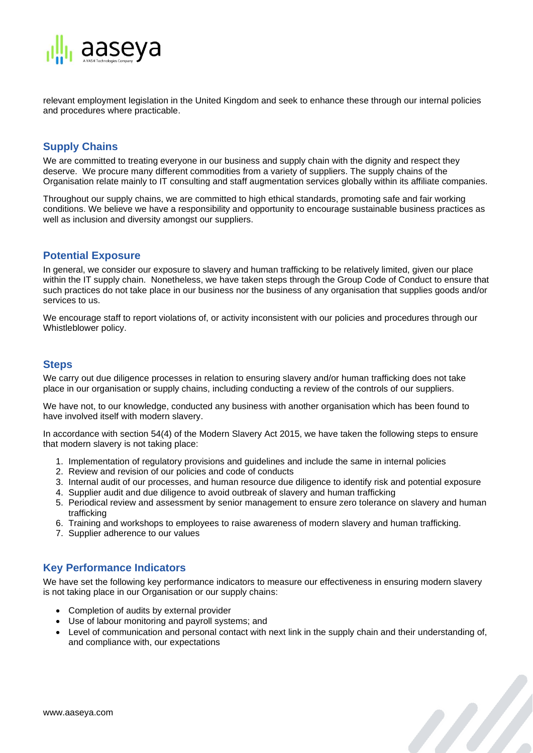

relevant employment legislation in the United Kingdom and seek to enhance these through our internal policies and procedures where practicable.

## **Supply Chains**

We are committed to treating everyone in our business and supply chain with the dignity and respect they deserve. We procure many different commodities from a variety of suppliers. The supply chains of the Organisation relate mainly to IT consulting and staff augmentation services globally within its affiliate companies.

Throughout our supply chains, we are committed to high ethical standards, promoting safe and fair working conditions. We believe we have a responsibility and opportunity to encourage sustainable business practices as well as inclusion and diversity amongst our suppliers.

### **Potential Exposure**

In general, we consider our exposure to slavery and human trafficking to be relatively limited, given our place within the IT supply chain. Nonetheless, we have taken steps through the Group Code of Conduct to ensure that such practices do not take place in our business nor the business of any organisation that supplies goods and/or services to us.

We encourage staff to report violations of, or activity inconsistent with our policies and procedures through our Whistleblower policy.

#### **Steps**

We carry out due diligence processes in relation to ensuring slavery and/or human trafficking does not take place in our organisation or supply chains, including conducting a review of the controls of our suppliers.

We have not, to our knowledge, conducted any business with another organisation which has been found to have involved itself with modern slavery.

In accordance with section 54(4) of the Modern Slavery Act 2015, we have taken the following steps to ensure that modern slavery is not taking place:

- 1. Implementation of regulatory provisions and guidelines and include the same in internal policies
- 2. Review and revision of our policies and code of conducts
- 3. Internal audit of our processes, and human resource due diligence to identify risk and potential exposure
- 4. Supplier audit and due diligence to avoid outbreak of slavery and human trafficking
- 5. Periodical review and assessment by senior management to ensure zero tolerance on slavery and human trafficking
- 6. Training and workshops to employees to raise awareness of modern slavery and human trafficking.
- 7. Supplier adherence to our values

### **Key Performance Indicators**

We have set the following key performance indicators to measure our effectiveness in ensuring modern slavery is not taking place in our Organisation or our supply chains:

- Completion of audits by external provider
- Use of labour monitoring and payroll systems; and
- Level of communication and personal contact with next link in the supply chain and their understanding of, and compliance with, our expectations

a Partido